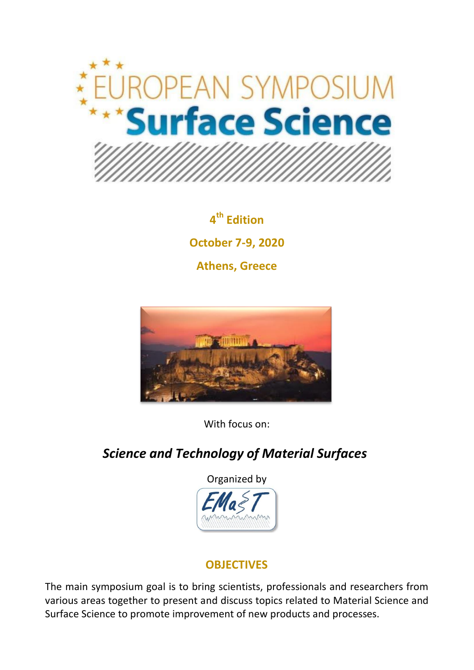

**4 th Edition October 7-9, 2020 Athens, Greece**



With focus on:

# *Science and Technology of Material Surfaces*



## **OBJECTIVES**

The main symposium goal is to bring scientists, professionals and researchers from various areas together to present and discuss topics related to Material Science and Surface Science to promote improvement of new products and processes.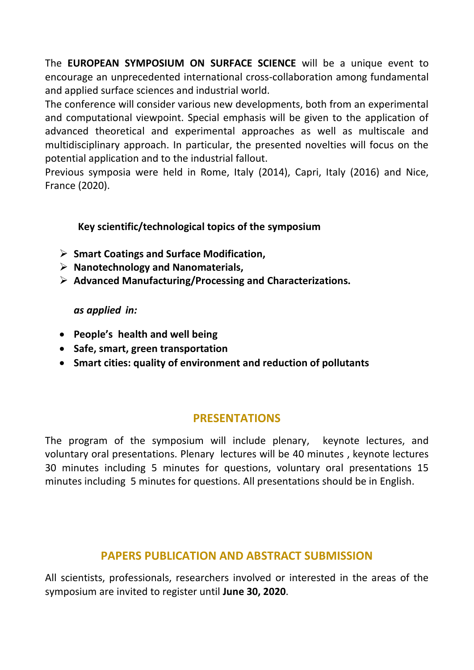The **EUROPEAN SYMPOSIUM ON SURFACE SCIENCE** will be a unique event to encourage an unprecedented international cross-collaboration among fundamental and applied surface sciences and industrial world.

The conference will consider various new developments, both from an experimental and computational viewpoint. Special emphasis will be given to the application of advanced theoretical and experimental approaches as well as multiscale and multidisciplinary approach. In particular, the presented novelties will focus on the potential application and to the industrial fallout.

Previous symposia were held in Rome, Italy (2014), Capri, Italy (2016) and Nice, France (2020).

#### **Key scientific/technological topics of the symposium**

- **Smart Coatings and Surface Modification,**
- **Nanotechnology and Nanomaterials,**
- **Advanced Manufacturing/Processing and Characterizations.**

#### *as applied in:*

- **People's health and well being**
- **Safe, smart, green transportation**
- **Smart cities: quality of environment and reduction of pollutants**

## **PRESENTATIONS**

The program of the symposium will include plenary, keynote lectures, and voluntary oral presentations. Plenary lectures will be 40 minutes , keynote lectures 30 minutes including 5 minutes for questions, voluntary oral presentations 15 minutes including 5 minutes for questions. All presentations should be in English.

## **PAPERS PUBLICATION AND ABSTRACT SUBMISSION**

All scientists, professionals, researchers involved or interested in the areas of the symposium are invited to register until **June 30, 2020**.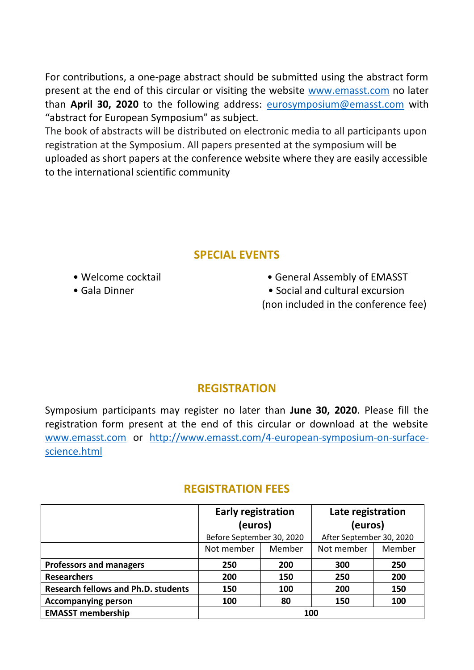For contributions, a one-page abstract should be submitted using the abstract form present at the end of this circular or visiting the website [www.emasst.com](http://www.emasst.com/) no later than **April 30, 2020** to the following address: [eurosymposium@emasst.com](mailto:eurosymposium@emasst.com) with "abstract for European Symposium" as subject.

The book of abstracts will be distributed on electronic media to all participants upon registration at the Symposium. All papers presented at the symposium will be uploaded as short papers at the conference website where they are easily accessible to the international scientific community

### **SPECIAL EVENTS**

- 
- 
- Welcome cocktail General Assembly of EMASST
- Gala Dinner Social and cultural excursion
	- (non included in the conference fee)

#### **REGISTRATION**

Symposium participants may register no later than **June 30, 2020**. Please fill the registration form present at the end of this circular or download at the website [www.emasst.com](http://www.emasst.com/) or [http://www.emasst.com/4-european-symposium-on-surface](http://www.emasst.com/4-european-symposium-on-surface-science.html)[science.html](http://www.emasst.com/4-european-symposium-on-surface-science.html)

|                                            | <b>Early registration</b><br>(euros) |        | Late registration<br>(euros) |        |
|--------------------------------------------|--------------------------------------|--------|------------------------------|--------|
|                                            |                                      |        |                              |        |
|                                            | Before September 30, 2020            |        | After September 30, 2020     |        |
|                                            | Not member                           | Member | Not member                   | Member |
| <b>Professors and managers</b>             | 250                                  | 200    | 300                          | 250    |
| <b>Researchers</b>                         | 200                                  | 150    | 250                          | 200    |
| <b>Research fellows and Ph.D. students</b> | 150                                  | 100    | 200                          | 150    |
| <b>Accompanying person</b>                 | 100                                  | 80     | 150                          | 100    |
| <b>EMASST membership</b>                   | 100                                  |        |                              |        |

#### **REGISTRATION FEES**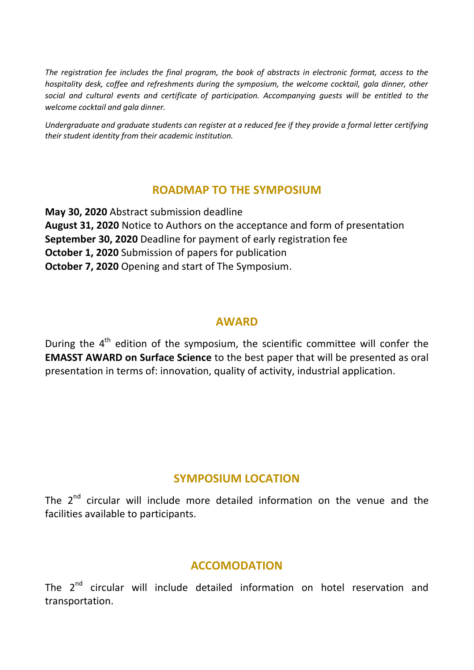*The registration fee includes the final program, the book of abstracts in electronic format, access to the hospitality desk, coffee and refreshments during the symposium, the welcome cocktail, gala dinner, other social and cultural events and certificate of participation. Accompanying guests will be entitled to the welcome cocktail and gala dinner.*

*Undergraduate and graduate students can register at a reduced fee if they provide a formal letter certifying their student identity from their academic institution.*

#### **ROADMAP TO THE SYMPOSIUM**

**May 30, 2020** Abstract submission deadline **August 31, 2020** Notice to Authors on the acceptance and form of presentation **September 30, 2020** Deadline for payment of early registration fee **October 1, 2020** Submission of papers for publication **October 7, 2020** Opening and start of The Symposium.

#### **AWARD**

During the 4<sup>th</sup> edition of the symposium, the scientific committee will confer the **EMASST AWARD on Surface Science** to the best paper that will be presented as oral presentation in terms of: innovation, quality of activity, industrial application.

#### **SYMPOSIUM LOCATION**

The  $2^{nd}$  circular will include more detailed information on the venue and the facilities available to participants.

#### **ACCOMODATION**

The 2<sup>nd</sup> circular will include detailed information on hotel reservation and transportation.